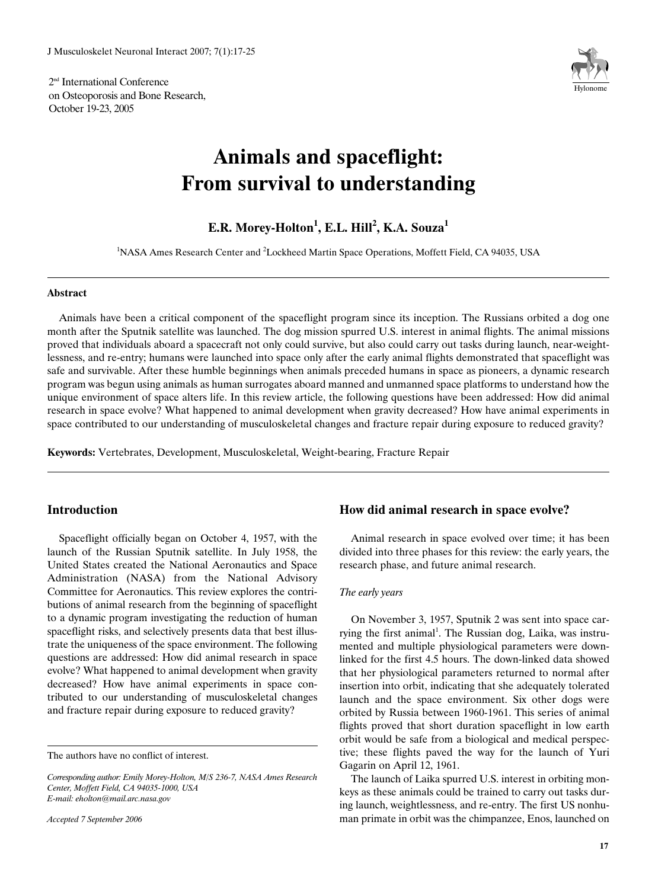2<sup>nd</sup> International Conference on Osteoporosis and Bone Research, October 19-23, 2005



# **Animals and spaceflight: From survival to understanding**

**E.R. Morey-Holton<sup>1</sup> , E.L. Hill<sup>2</sup> , K.A. Souza1**

<sup>1</sup>NASA Ames Research Center and <sup>2</sup>Lockheed Martin Space Operations, Moffett Field, CA 94035, USA

## **Abstract**

Animals have been a critical component of the spaceflight program since its inception. The Russians orbited a dog one month after the Sputnik satellite was launched. The dog mission spurred U.S. interest in animal flights. The animal missions proved that individuals aboard a spacecraft not only could survive, but also could carry out tasks during launch, near-weightlessness, and re-entry; humans were launched into space only after the early animal flights demonstrated that spaceflight was safe and survivable. After these humble beginnings when animals preceded humans in space as pioneers, a dynamic research program was begun using animals as human surrogates aboard manned and unmanned space platforms to understand how the unique environment of space alters life. In this review article, the following questions have been addressed: How did animal research in space evolve? What happened to animal development when gravity decreased? How have animal experiments in space contributed to our understanding of musculoskeletal changes and fracture repair during exposure to reduced gravity?

**Keywords:** Vertebrates, Development, Musculoskeletal, Weight-bearing, Fracture Repair

## **Introduction**

Spaceflight officially began on October 4, 1957, with the launch of the Russian Sputnik satellite. In July 1958, the United States created the National Aeronautics and Space Administration (NASA) from the National Advisory Committee for Aeronautics. This review explores the contributions of animal research from the beginning of spaceflight to a dynamic program investigating the reduction of human spaceflight risks, and selectively presents data that best illustrate the uniqueness of the space environment. The following questions are addressed: How did animal research in space evolve? What happened to animal development when gravity decreased? How have animal experiments in space contributed to our understanding of musculoskeletal changes and fracture repair during exposure to reduced gravity?

## **How did animal research in space evolve?**

Animal research in space evolved over time; it has been divided into three phases for this review: the early years, the research phase, and future animal research.

## *The early years*

On November 3, 1957, Sputnik 2 was sent into space carrying the first animal<sup>1</sup>. The Russian dog, Laika, was instrumented and multiple physiological parameters were downlinked for the first 4.5 hours. The down-linked data showed that her physiological parameters returned to normal after insertion into orbit, indicating that she adequately tolerated launch and the space environment. Six other dogs were orbited by Russia between 1960-1961. This series of animal flights proved that short duration spaceflight in low earth orbit would be safe from a biological and medical perspective; these flights paved the way for the launch of Yuri Gagarin on April 12, 1961.

The launch of Laika spurred U.S. interest in orbiting monkeys as these animals could be trained to carry out tasks during launch, weightlessness, and re-entry. The first US nonhuman primate in orbit was the chimpanzee, Enos, launched on

The authors have no conflict of interest.

*Corresponding author: Emily Morey-Holton, M/S 236-7, NASA Ames Research Center, Moffett Field, CA 94035-1000, USA E-mail: eholton@mail.arc.nasa.gov*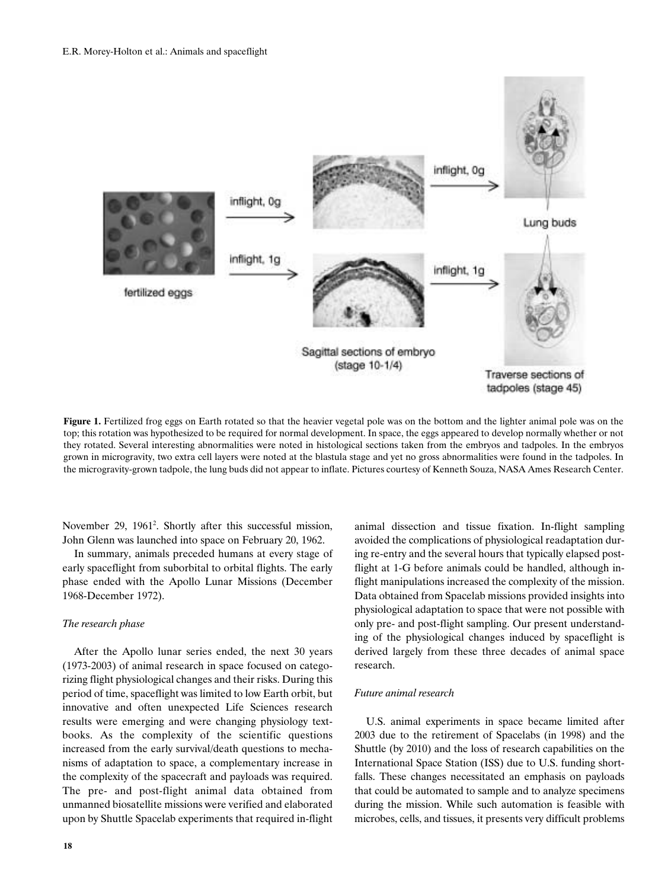

**Figure 1.** Fertilized frog eggs on Earth rotated so that the heavier vegetal pole was on the bottom and the lighter animal pole was on the top; this rotation was hypothesized to be required for normal development. In space, the eggs appeared to develop normally whether or not they rotated. Several interesting abnormalities were noted in histological sections taken from the embryos and tadpoles. In the embryos grown in microgravity, two extra cell layers were noted at the blastula stage and yet no gross abnormalities were found in the tadpoles. In the microgravity-grown tadpole, the lung buds did not appear to inflate. Pictures courtesy of Kenneth Souza, NASA Ames Research Center.

November 29, 1961<sup>2</sup>. Shortly after this successful mission, John Glenn was launched into space on February 20, 1962.

In summary, animals preceded humans at every stage of early spaceflight from suborbital to orbital flights. The early phase ended with the Apollo Lunar Missions (December 1968-December 1972).

## *The research phase*

After the Apollo lunar series ended, the next 30 years (1973-2003) of animal research in space focused on categorizing flight physiological changes and their risks. During this period of time, spaceflight was limited to low Earth orbit, but innovative and often unexpected Life Sciences research results were emerging and were changing physiology textbooks. As the complexity of the scientific questions increased from the early survival/death questions to mechanisms of adaptation to space, a complementary increase in the complexity of the spacecraft and payloads was required. The pre- and post-flight animal data obtained from unmanned biosatellite missions were verified and elaborated upon by Shuttle Spacelab experiments that required in-flight animal dissection and tissue fixation. In-flight sampling avoided the complications of physiological readaptation during re-entry and the several hours that typically elapsed postflight at 1-G before animals could be handled, although inflight manipulations increased the complexity of the mission. Data obtained from Spacelab missions provided insights into physiological adaptation to space that were not possible with only pre- and post-flight sampling. Our present understanding of the physiological changes induced by spaceflight is derived largely from these three decades of animal space research.

### *Future animal research*

U.S. animal experiments in space became limited after 2003 due to the retirement of Spacelabs (in 1998) and the Shuttle (by 2010) and the loss of research capabilities on the International Space Station (ISS) due to U.S. funding shortfalls. These changes necessitated an emphasis on payloads that could be automated to sample and to analyze specimens during the mission. While such automation is feasible with microbes, cells, and tissues, it presents very difficult problems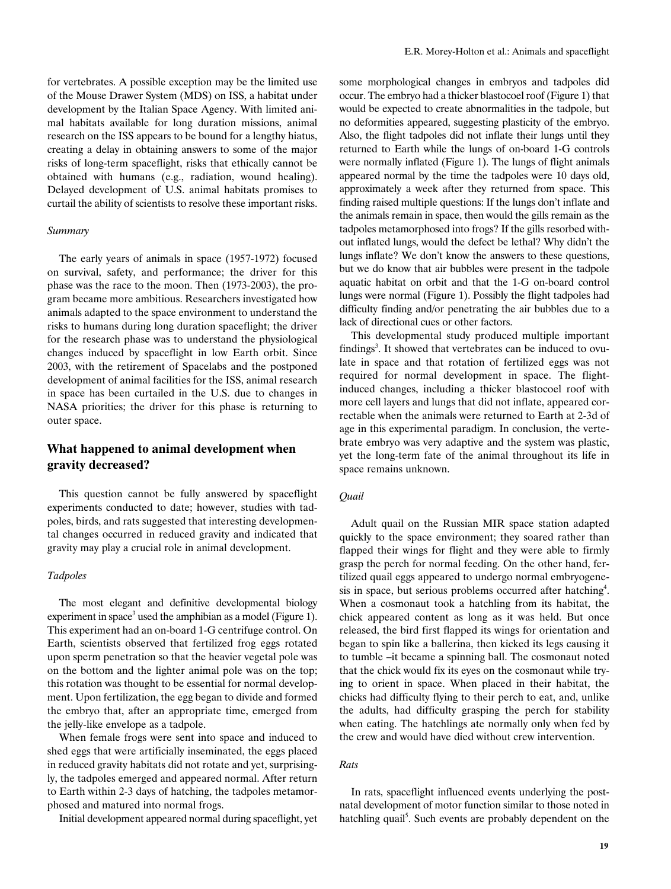for vertebrates. A possible exception may be the limited use of the Mouse Drawer System (MDS) on ISS, a habitat under development by the Italian Space Agency. With limited animal habitats available for long duration missions, animal research on the ISS appears to be bound for a lengthy hiatus, creating a delay in obtaining answers to some of the major risks of long-term spaceflight, risks that ethically cannot be obtained with humans (e.g., radiation, wound healing). Delayed development of U.S. animal habitats promises to curtail the ability of scientists to resolve these important risks.

#### *Summary*

The early years of animals in space (1957-1972) focused on survival, safety, and performance; the driver for this phase was the race to the moon. Then (1973-2003), the program became more ambitious. Researchers investigated how animals adapted to the space environment to understand the risks to humans during long duration spaceflight; the driver for the research phase was to understand the physiological changes induced by spaceflight in low Earth orbit. Since 2003, with the retirement of Spacelabs and the postponed development of animal facilities for the ISS, animal research in space has been curtailed in the U.S. due to changes in NASA priorities; the driver for this phase is returning to outer space.

## **What happened to animal development when gravity decreased?**

This question cannot be fully answered by spaceflight experiments conducted to date; however, studies with tadpoles, birds, and rats suggested that interesting developmental changes occurred in reduced gravity and indicated that gravity may play a crucial role in animal development.

## *Tadpoles*

The most elegant and definitive developmental biology experiment in space<sup>3</sup> used the amphibian as a model (Figure 1). This experiment had an on-board 1-G centrifuge control. On Earth, scientists observed that fertilized frog eggs rotated upon sperm penetration so that the heavier vegetal pole was on the bottom and the lighter animal pole was on the top; this rotation was thought to be essential for normal development. Upon fertilization, the egg began to divide and formed the embryo that, after an appropriate time, emerged from the jelly-like envelope as a tadpole.

When female frogs were sent into space and induced to shed eggs that were artificially inseminated, the eggs placed in reduced gravity habitats did not rotate and yet, surprisingly, the tadpoles emerged and appeared normal. After return to Earth within 2-3 days of hatching, the tadpoles metamorphosed and matured into normal frogs.

Initial development appeared normal during spaceflight, yet

some morphological changes in embryos and tadpoles did occur. The embryo had a thicker blastocoel roof (Figure 1) that would be expected to create abnormalities in the tadpole, but no deformities appeared, suggesting plasticity of the embryo. Also, the flight tadpoles did not inflate their lungs until they returned to Earth while the lungs of on-board 1-G controls were normally inflated (Figure 1). The lungs of flight animals appeared normal by the time the tadpoles were 10 days old, approximately a week after they returned from space. This finding raised multiple questions: If the lungs don't inflate and the animals remain in space, then would the gills remain as the tadpoles metamorphosed into frogs? If the gills resorbed without inflated lungs, would the defect be lethal? Why didn't the lungs inflate? We don't know the answers to these questions, but we do know that air bubbles were present in the tadpole aquatic habitat on orbit and that the 1-G on-board control lungs were normal (Figure 1). Possibly the flight tadpoles had difficulty finding and/or penetrating the air bubbles due to a lack of directional cues or other factors.

This developmental study produced multiple important findings<sup>3</sup>. It showed that vertebrates can be induced to ovulate in space and that rotation of fertilized eggs was not required for normal development in space. The flightinduced changes, including a thicker blastocoel roof with more cell layers and lungs that did not inflate, appeared correctable when the animals were returned to Earth at 2-3d of age in this experimental paradigm. In conclusion, the vertebrate embryo was very adaptive and the system was plastic, yet the long-term fate of the animal throughout its life in space remains unknown.

#### *Quail*

Adult quail on the Russian MIR space station adapted quickly to the space environment; they soared rather than flapped their wings for flight and they were able to firmly grasp the perch for normal feeding. On the other hand, fertilized quail eggs appeared to undergo normal embryogenesis in space, but serious problems occurred after hatching<sup>4</sup>. When a cosmonaut took a hatchling from its habitat, the chick appeared content as long as it was held. But once released, the bird first flapped its wings for orientation and began to spin like a ballerina, then kicked its legs causing it to tumble –it became a spinning ball. The cosmonaut noted that the chick would fix its eyes on the cosmonaut while trying to orient in space. When placed in their habitat, the chicks had difficulty flying to their perch to eat, and, unlike the adults, had difficulty grasping the perch for stability when eating. The hatchlings ate normally only when fed by the crew and would have died without crew intervention.

## *Rats*

In rats, spaceflight influenced events underlying the postnatal development of motor function similar to those noted in hatchling quail<sup>5</sup>. Such events are probably dependent on the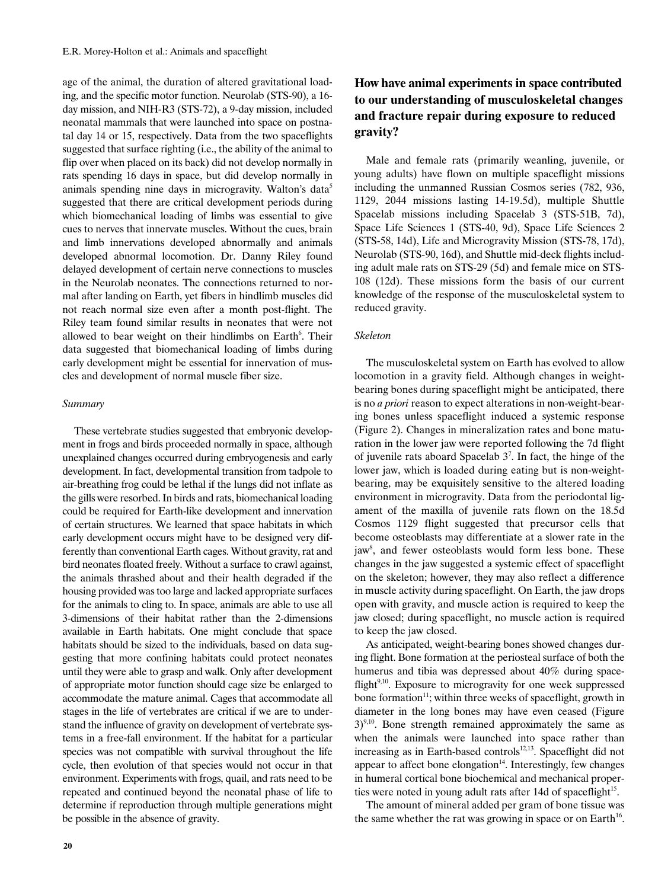age of the animal, the duration of altered gravitational loading, and the specific motor function. Neurolab (STS-90), a 16 day mission, and NIH-R3 (STS-72), a 9-day mission, included neonatal mammals that were launched into space on postnatal day 14 or 15, respectively. Data from the two spaceflights suggested that surface righting (i.e., the ability of the animal to flip over when placed on its back) did not develop normally in rats spending 16 days in space, but did develop normally in animals spending nine days in microgravity. Walton's data<sup>5</sup> suggested that there are critical development periods during which biomechanical loading of limbs was essential to give cues to nerves that innervate muscles. Without the cues, brain and limb innervations developed abnormally and animals developed abnormal locomotion. Dr. Danny Riley found delayed development of certain nerve connections to muscles in the Neurolab neonates. The connections returned to normal after landing on Earth, yet fibers in hindlimb muscles did not reach normal size even after a month post-flight. The Riley team found similar results in neonates that were not allowed to bear weight on their hindlimbs on Earth<sup>6</sup>. Their data suggested that biomechanical loading of limbs during early development might be essential for innervation of muscles and development of normal muscle fiber size.

#### *Summary*

These vertebrate studies suggested that embryonic development in frogs and birds proceeded normally in space, although unexplained changes occurred during embryogenesis and early development. In fact, developmental transition from tadpole to air-breathing frog could be lethal if the lungs did not inflate as the gills were resorbed. In birds and rats, biomechanical loading could be required for Earth-like development and innervation of certain structures. We learned that space habitats in which early development occurs might have to be designed very differently than conventional Earth cages. Without gravity, rat and bird neonates floated freely. Without a surface to crawl against, the animals thrashed about and their health degraded if the housing provided was too large and lacked appropriate surfaces for the animals to cling to. In space, animals are able to use all 3-dimensions of their habitat rather than the 2-dimensions available in Earth habitats. One might conclude that space habitats should be sized to the individuals, based on data suggesting that more confining habitats could protect neonates until they were able to grasp and walk. Only after development of appropriate motor function should cage size be enlarged to accommodate the mature animal. Cages that accommodate all stages in the life of vertebrates are critical if we are to understand the influence of gravity on development of vertebrate systems in a free-fall environment. If the habitat for a particular species was not compatible with survival throughout the life cycle, then evolution of that species would not occur in that environment. Experiments with frogs, quail, and rats need to be repeated and continued beyond the neonatal phase of life to determine if reproduction through multiple generations might be possible in the absence of gravity.

# **How have animal experiments in space contributed to our understanding of musculoskeletal changes and fracture repair during exposure to reduced gravity?**

Male and female rats (primarily weanling, juvenile, or young adults) have flown on multiple spaceflight missions including the unmanned Russian Cosmos series (782, 936, 1129, 2044 missions lasting 14-19.5d), multiple Shuttle Spacelab missions including Spacelab 3 (STS-51B, 7d), Space Life Sciences 1 (STS-40, 9d), Space Life Sciences 2 (STS-58, 14d), Life and Microgravity Mission (STS-78, 17d), Neurolab (STS-90, 16d), and Shuttle mid-deck flights including adult male rats on STS-29 (5d) and female mice on STS-108 (12d). These missions form the basis of our current knowledge of the response of the musculoskeletal system to reduced gravity.

## *Skeleton*

The musculoskeletal system on Earth has evolved to allow locomotion in a gravity field. Although changes in weightbearing bones during spaceflight might be anticipated, there is no *a priori* reason to expect alterations in non-weight-bearing bones unless spaceflight induced a systemic response (Figure 2). Changes in mineralization rates and bone maturation in the lower jaw were reported following the 7d flight of juvenile rats aboard Spacelab  $3^7$ . In fact, the hinge of the lower jaw, which is loaded during eating but is non-weightbearing, may be exquisitely sensitive to the altered loading environment in microgravity. Data from the periodontal ligament of the maxilla of juvenile rats flown on the 18.5d Cosmos 1129 flight suggested that precursor cells that become osteoblasts may differentiate at a slower rate in the jaw<sup>8</sup>, and fewer osteoblasts would form less bone. These changes in the jaw suggested a systemic effect of spaceflight on the skeleton; however, they may also reflect a difference in muscle activity during spaceflight. On Earth, the jaw drops open with gravity, and muscle action is required to keep the jaw closed; during spaceflight, no muscle action is required to keep the jaw closed.

As anticipated, weight-bearing bones showed changes during flight. Bone formation at the periosteal surface of both the humerus and tibia was depressed about 40% during spaceflight<sup>9,10</sup>. Exposure to microgravity for one week suppressed bone formation<sup>11</sup>; within three weeks of spaceflight, growth in diameter in the long bones may have even ceased (Figure  $3)^{9,10}$ . Bone strength remained approximately the same as when the animals were launched into space rather than increasing as in Earth-based controls $12,13$ . Spaceflight did not appear to affect bone elongation $14$ . Interestingly, few changes in humeral cortical bone biochemical and mechanical properties were noted in young adult rats after 14d of spaceflight $15$ .

The amount of mineral added per gram of bone tissue was the same whether the rat was growing in space or on Earth<sup>16</sup>.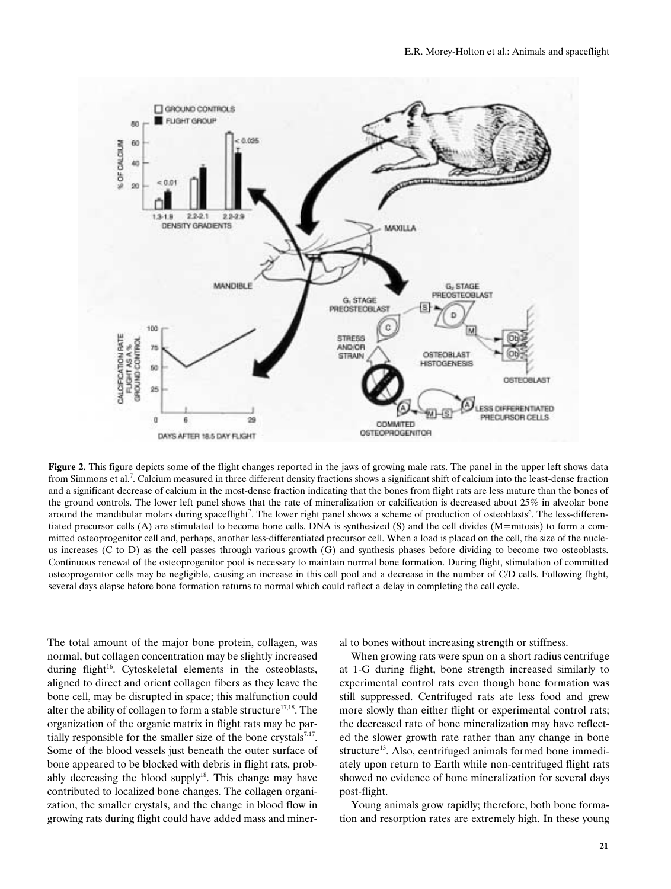

**Figure 2.** This figure depicts some of the flight changes reported in the jaws of growing male rats. The panel in the upper left shows data from Simmons et al.<sup>7</sup>. Calcium measured in three different density fractions shows a significant shift of calcium into the least-dense fraction and a significant decrease of calcium in the most-dense fraction indicating that the bones from flight rats are less mature than the bones of the ground controls. The lower left panel shows that the rate of mineralization or calcification is decreased about 25% in alveolar bone around the mandibular molars during spaceflight<sup>7</sup>. The lower right panel shows a scheme of production of osteoblasts<sup>8</sup>. The less-differentiated precursor cells (A) are stimulated to become bone cells. DNA is synthesized (S) and the cell divides (M=mitosis) to form a committed osteoprogenitor cell and, perhaps, another less-differentiated precursor cell. When a load is placed on the cell, the size of the nucleus increases (C to D) as the cell passes through various growth (G) and synthesis phases before dividing to become two osteoblasts. Continuous renewal of the osteoprogenitor pool is necessary to maintain normal bone formation. During flight, stimulation of committed osteoprogenitor cells may be negligible, causing an increase in this cell pool and a decrease in the number of C/D cells. Following flight, several days elapse before bone formation returns to normal which could reflect a delay in completing the cell cycle.

The total amount of the major bone protein, collagen, was normal, but collagen concentration may be slightly increased during flight<sup>16</sup>. Cytoskeletal elements in the osteoblasts, aligned to direct and orient collagen fibers as they leave the bone cell, may be disrupted in space; this malfunction could alter the ability of collagen to form a stable structure<sup>17,18</sup>. The organization of the organic matrix in flight rats may be partially responsible for the smaller size of the bone crystals<sup>7,17</sup>. Some of the blood vessels just beneath the outer surface of bone appeared to be blocked with debris in flight rats, probably decreasing the blood supply<sup>18</sup>. This change may have contributed to localized bone changes. The collagen organization, the smaller crystals, and the change in blood flow in growing rats during flight could have added mass and mineral to bones without increasing strength or stiffness.

When growing rats were spun on a short radius centrifuge at 1-G during flight, bone strength increased similarly to experimental control rats even though bone formation was still suppressed. Centrifuged rats ate less food and grew more slowly than either flight or experimental control rats; the decreased rate of bone mineralization may have reflected the slower growth rate rather than any change in bone structure<sup>13</sup>. Also, centrifuged animals formed bone immediately upon return to Earth while non-centrifuged flight rats showed no evidence of bone mineralization for several days post-flight.

Young animals grow rapidly; therefore, both bone formation and resorption rates are extremely high. In these young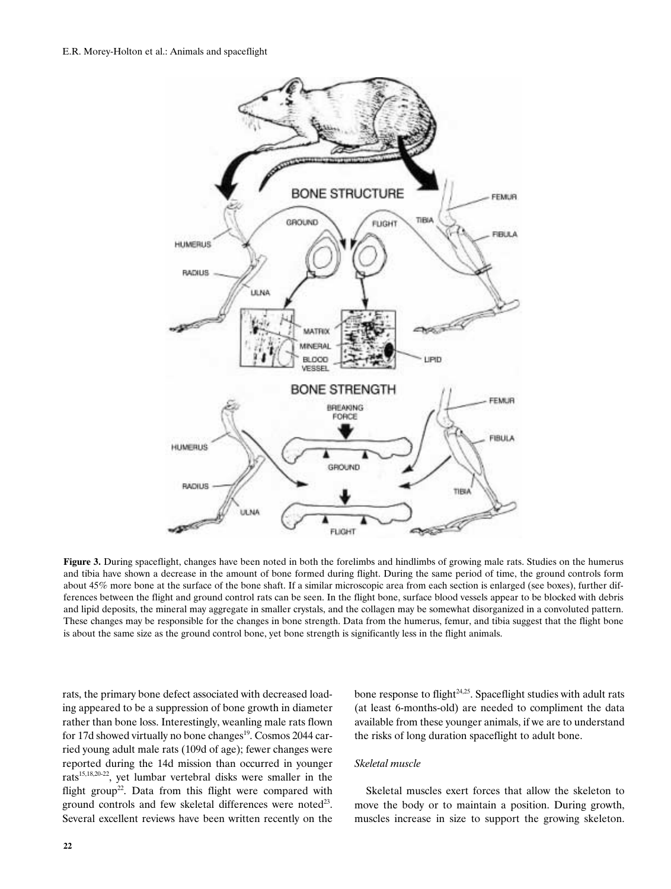

**Figure 3.** During spaceflight, changes have been noted in both the forelimbs and hindlimbs of growing male rats. Studies on the humerus and tibia have shown a decrease in the amount of bone formed during flight. During the same period of time, the ground controls form about 45% more bone at the surface of the bone shaft. If a similar microscopic area from each section is enlarged (see boxes), further differences between the flight and ground control rats can be seen. In the flight bone, surface blood vessels appear to be blocked with debris and lipid deposits, the mineral may aggregate in smaller crystals, and the collagen may be somewhat disorganized in a convoluted pattern. These changes may be responsible for the changes in bone strength. Data from the humerus, femur, and tibia suggest that the flight bone is about the same size as the ground control bone, yet bone strength is significantly less in the flight animals.

rats, the primary bone defect associated with decreased loading appeared to be a suppression of bone growth in diameter rather than bone loss. Interestingly, weanling male rats flown for 17d showed virtually no bone changes<sup>19</sup>. Cosmos 2044 carried young adult male rats (109d of age); fewer changes were reported during the 14d mission than occurred in younger rats<sup>15,18,20-22</sup>, yet lumbar vertebral disks were smaller in the flight group<sup>22</sup>. Data from this flight were compared with ground controls and few skeletal differences were noted<sup>23</sup>. Several excellent reviews have been written recently on the

bone response to flight $24.25$ . Spaceflight studies with adult rats (at least 6-months-old) are needed to compliment the data available from these younger animals, if we are to understand the risks of long duration spaceflight to adult bone.

## *Skeletal muscle*

Skeletal muscles exert forces that allow the skeleton to move the body or to maintain a position. During growth, muscles increase in size to support the growing skeleton.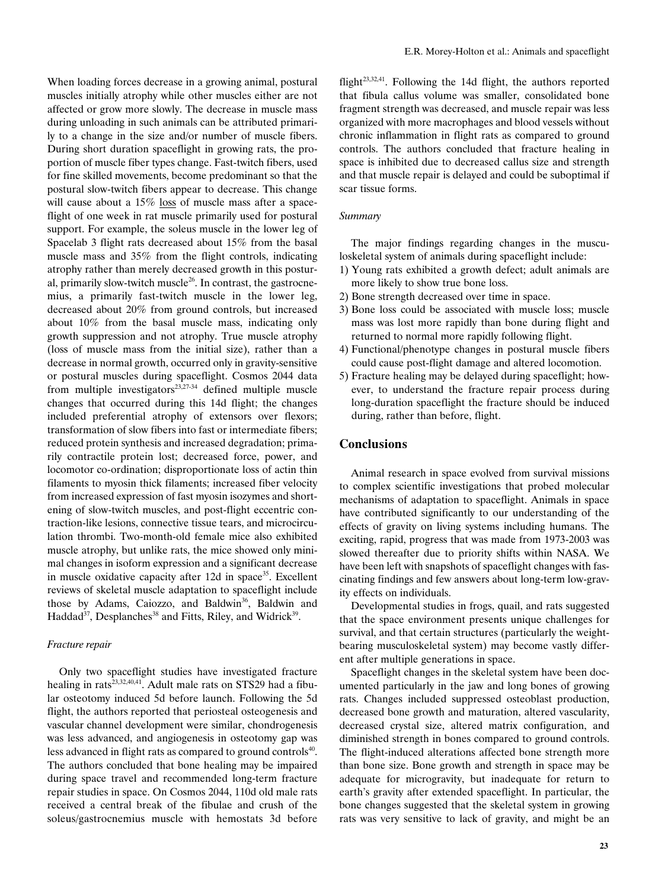When loading forces decrease in a growing animal, postural muscles initially atrophy while other muscles either are not affected or grow more slowly. The decrease in muscle mass during unloading in such animals can be attributed primarily to a change in the size and/or number of muscle fibers. During short duration spaceflight in growing rats, the proportion of muscle fiber types change. Fast-twitch fibers, used for fine skilled movements, become predominant so that the postural slow-twitch fibers appear to decrease. This change will cause about a 15% loss of muscle mass after a spaceflight of one week in rat muscle primarily used for postural support. For example, the soleus muscle in the lower leg of Spacelab 3 flight rats decreased about 15% from the basal muscle mass and 35% from the flight controls, indicating atrophy rather than merely decreased growth in this postural, primarily slow-twitch muscle<sup>26</sup>. In contrast, the gastrocnemius, a primarily fast-twitch muscle in the lower leg, decreased about 20% from ground controls, but increased about 10% from the basal muscle mass, indicating only growth suppression and not atrophy. True muscle atrophy (loss of muscle mass from the initial size), rather than a decrease in normal growth, occurred only in gravity-sensitive or postural muscles during spaceflight. Cosmos 2044 data from multiple investigators $2^{3,27\cdot34}$  defined multiple muscle changes that occurred during this 14d flight; the changes included preferential atrophy of extensors over flexors; transformation of slow fibers into fast or intermediate fibers; reduced protein synthesis and increased degradation; primarily contractile protein lost; decreased force, power, and locomotor co-ordination; disproportionate loss of actin thin filaments to myosin thick filaments; increased fiber velocity from increased expression of fast myosin isozymes and shortening of slow-twitch muscles, and post-flight eccentric contraction-like lesions, connective tissue tears, and microcirculation thrombi. Two-month-old female mice also exhibited muscle atrophy, but unlike rats, the mice showed only minimal changes in isoform expression and a significant decrease in muscle oxidative capacity after  $12d$  in space<sup>35</sup>. Excellent reviews of skeletal muscle adaptation to spaceflight include those by Adams, Caiozzo, and Baldwin<sup>36</sup>, Baldwin and Haddad<sup>37</sup>, Desplanches<sup>38</sup> and Fitts, Riley, and Widrick<sup>39</sup>.

## *Fracture repair*

Only two spaceflight studies have investigated fracture healing in rats $^{23,32,40,41}$ . Adult male rats on STS29 had a fibular osteotomy induced 5d before launch. Following the 5d flight, the authors reported that periosteal osteogenesis and vascular channel development were similar, chondrogenesis was less advanced, and angiogenesis in osteotomy gap was less advanced in flight rats as compared to ground controls<sup>40</sup>. The authors concluded that bone healing may be impaired during space travel and recommended long-term fracture repair studies in space. On Cosmos 2044, 110d old male rats received a central break of the fibulae and crush of the soleus/gastrocnemius muscle with hemostats 3d before

flight $2^{3,32,41}$ . Following the 14d flight, the authors reported that fibula callus volume was smaller, consolidated bone fragment strength was decreased, and muscle repair was less organized with more macrophages and blood vessels without chronic inflammation in flight rats as compared to ground controls. The authors concluded that fracture healing in space is inhibited due to decreased callus size and strength and that muscle repair is delayed and could be suboptimal if scar tissue forms.

## *Summary*

The major findings regarding changes in the musculoskeletal system of animals during spaceflight include:

- 1) Young rats exhibited a growth defect; adult animals are more likely to show true bone loss.
- 2) Bone strength decreased over time in space.
- 3) Bone loss could be associated with muscle loss; muscle mass was lost more rapidly than bone during flight and returned to normal more rapidly following flight.
- 4) Functional/phenotype changes in postural muscle fibers could cause post-flight damage and altered locomotion.
- 5) Fracture healing may be delayed during spaceflight; however, to understand the fracture repair process during long-duration spaceflight the fracture should be induced during, rather than before, flight.

## **Conclusions**

Animal research in space evolved from survival missions to complex scientific investigations that probed molecular mechanisms of adaptation to spaceflight. Animals in space have contributed significantly to our understanding of the effects of gravity on living systems including humans. The exciting, rapid, progress that was made from 1973-2003 was slowed thereafter due to priority shifts within NASA. We have been left with snapshots of spaceflight changes with fascinating findings and few answers about long-term low-gravity effects on individuals.

Developmental studies in frogs, quail, and rats suggested that the space environment presents unique challenges for survival, and that certain structures (particularly the weightbearing musculoskeletal system) may become vastly different after multiple generations in space.

Spaceflight changes in the skeletal system have been documented particularly in the jaw and long bones of growing rats. Changes included suppressed osteoblast production, decreased bone growth and maturation, altered vascularity, decreased crystal size, altered matrix configuration, and diminished strength in bones compared to ground controls. The flight-induced alterations affected bone strength more than bone size. Bone growth and strength in space may be adequate for microgravity, but inadequate for return to earth's gravity after extended spaceflight. In particular, the bone changes suggested that the skeletal system in growing rats was very sensitive to lack of gravity, and might be an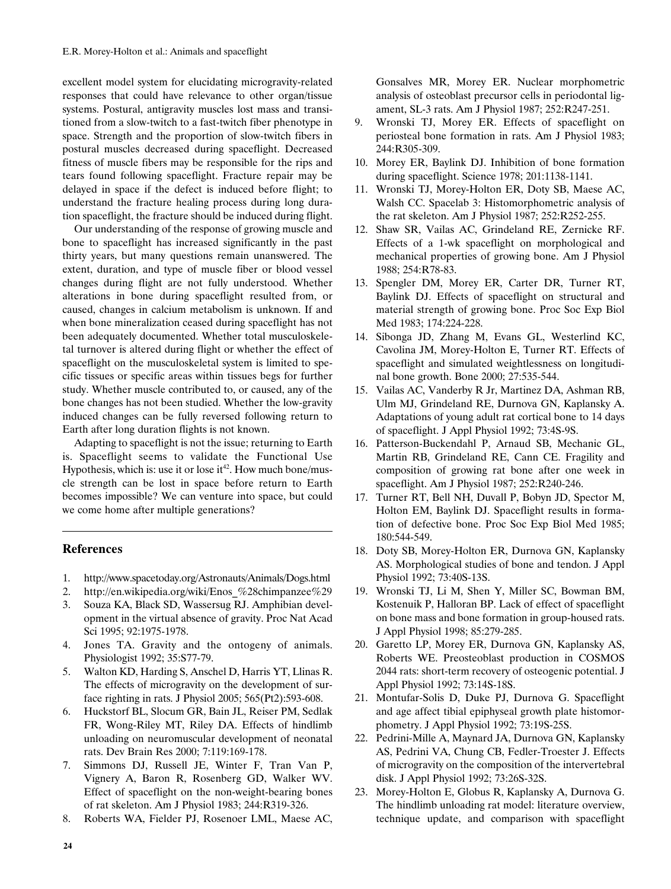excellent model system for elucidating microgravity-related responses that could have relevance to other organ/tissue systems. Postural, antigravity muscles lost mass and transitioned from a slow-twitch to a fast-twitch fiber phenotype in space. Strength and the proportion of slow-twitch fibers in postural muscles decreased during spaceflight. Decreased fitness of muscle fibers may be responsible for the rips and tears found following spaceflight. Fracture repair may be delayed in space if the defect is induced before flight; to understand the fracture healing process during long duration spaceflight, the fracture should be induced during flight.

Our understanding of the response of growing muscle and bone to spaceflight has increased significantly in the past thirty years, but many questions remain unanswered. The extent, duration, and type of muscle fiber or blood vessel changes during flight are not fully understood. Whether alterations in bone during spaceflight resulted from, or caused, changes in calcium metabolism is unknown. If and when bone mineralization ceased during spaceflight has not been adequately documented. Whether total musculoskeletal turnover is altered during flight or whether the effect of spaceflight on the musculoskeletal system is limited to specific tissues or specific areas within tissues begs for further study. Whether muscle contributed to, or caused, any of the bone changes has not been studied. Whether the low-gravity induced changes can be fully reversed following return to Earth after long duration flights is not known.

Adapting to spaceflight is not the issue; returning to Earth is. Spaceflight seems to validate the Functional Use Hypothesis, which is: use it or lose it<sup>42</sup>. How much bone/muscle strength can be lost in space before return to Earth becomes impossible? We can venture into space, but could we come home after multiple generations?

## **References**

- 1. http://www.spacetoday.org/Astronauts/Animals/Dogs.html
- 2. http://en.wikipedia.org/wiki/Enos\_%28chimpanzee%29
- 3. Souza KA, Black SD, Wassersug RJ. Amphibian development in the virtual absence of gravity. Proc Nat Acad Sci 1995; 92:1975-1978.
- 4. Jones TA. Gravity and the ontogeny of animals. Physiologist 1992; 35:S77-79.
- 5. Walton KD, Harding S, Anschel D, Harris YT, Llinas R. The effects of microgravity on the development of surface righting in rats. J Physiol 2005; 565(Pt2):593-608.
- 6. Huckstorf BL, Slocum GR, Bain JL, Reiser PM, Sedlak FR, Wong-Riley MT, Riley DA. Effects of hindlimb unloading on neuromuscular development of neonatal rats. Dev Brain Res 2000; 7:119:169-178.
- 7. Simmons DJ, Russell JE, Winter F, Tran Van P, Vignery A, Baron R, Rosenberg GD, Walker WV. Effect of spaceflight on the non-weight-bearing bones of rat skeleton. Am J Physiol 1983; 244:R319-326.
- 8. Roberts WA, Fielder PJ, Rosenoer LML, Maese AC,

Gonsalves MR, Morey ER. Nuclear morphometric analysis of osteoblast precursor cells in periodontal ligament, SL-3 rats. Am J Physiol 1987; 252:R247-251.

- 9. Wronski TJ, Morey ER. Effects of spaceflight on periosteal bone formation in rats. Am J Physiol 1983; 244:R305-309.
- 10. Morey ER, Baylink DJ. Inhibition of bone formation during spaceflight. Science 1978; 201:1138-1141.
- 11. Wronski TJ, Morey-Holton ER, Doty SB, Maese AC, Walsh CC. Spacelab 3: Histomorphometric analysis of the rat skeleton. Am J Physiol 1987; 252:R252-255.
- 12. Shaw SR, Vailas AC, Grindeland RE, Zernicke RF. Effects of a 1-wk spaceflight on morphological and mechanical properties of growing bone. Am J Physiol 1988; 254:R78-83.
- 13. Spengler DM, Morey ER, Carter DR, Turner RT, Baylink DJ. Effects of spaceflight on structural and material strength of growing bone. Proc Soc Exp Biol Med 1983; 174:224-228.
- 14. Sibonga JD, Zhang M, Evans GL, Westerlind KC, Cavolina JM, Morey-Holton E, Turner RT. Effects of spaceflight and simulated weightlessness on longitudinal bone growth. Bone 2000; 27:535-544.
- 15. Vailas AC, Vanderby R Jr, Martinez DA, Ashman RB, Ulm MJ, Grindeland RE, Durnova GN, Kaplansky A. Adaptations of young adult rat cortical bone to 14 days of spaceflight. J Appl Physiol 1992; 73:4S-9S.
- 16. Patterson-Buckendahl P, Arnaud SB, Mechanic GL, Martin RB, Grindeland RE, Cann CE. Fragility and composition of growing rat bone after one week in spaceflight. Am J Physiol 1987; 252:R240-246.
- 17. Turner RT, Bell NH, Duvall P, Bobyn JD, Spector M, Holton EM, Baylink DJ. Spaceflight results in formation of defective bone. Proc Soc Exp Biol Med 1985; 180:544-549.
- 18. Doty SB, Morey-Holton ER, Durnova GN, Kaplansky AS. Morphological studies of bone and tendon. J Appl Physiol 1992; 73:40S-13S.
- 19. Wronski TJ, Li M, Shen Y, Miller SC, Bowman BM, Kostenuik P, Halloran BP. Lack of effect of spaceflight on bone mass and bone formation in group-housed rats. J Appl Physiol 1998; 85:279-285.
- 20. Garetto LP, Morey ER, Durnova GN, Kaplansky AS, Roberts WE. Preosteoblast production in COSMOS 2044 rats: short-term recovery of osteogenic potential. J Appl Physiol 1992; 73:14S-18S.
- 21. Montufar-Solis D, Duke PJ, Durnova G. Spaceflight and age affect tibial epiphyseal growth plate histomorphometry. J Appl Physiol 1992; 73:19S-25S.
- 22. Pedrini-Mille A, Maynard JA, Durnova GN, Kaplansky AS, Pedrini VA, Chung CB, Fedler-Troester J. Effects of microgravity on the composition of the intervertebral disk. J Appl Physiol 1992; 73:26S-32S.
- 23. Morey-Holton E, Globus R, Kaplansky A, Durnova G. The hindlimb unloading rat model: literature overview, technique update, and comparison with spaceflight